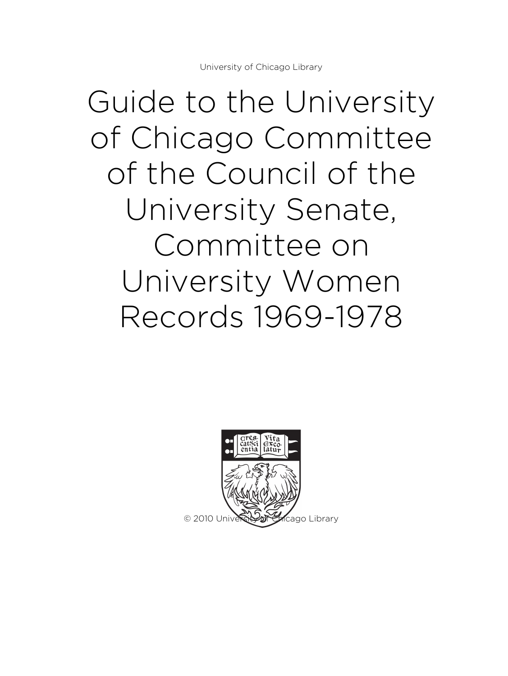Guide to the University of Chicago Committee of the Council of the University Senate, Committee on University Women Records 1969-1978

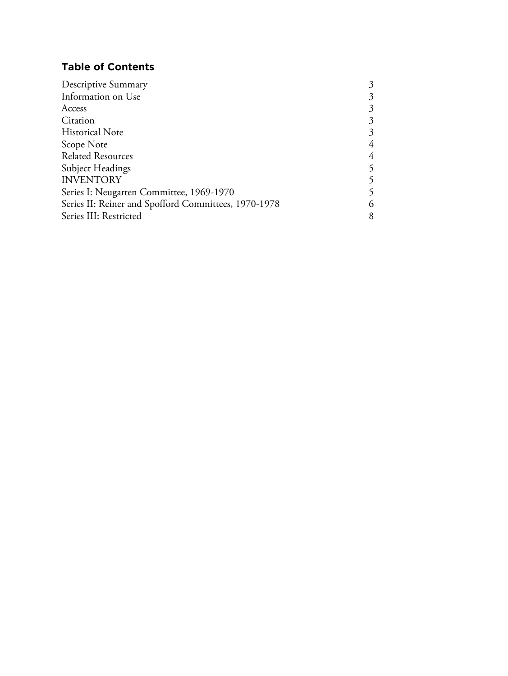# **Table of Contents**

| Descriptive Summary                                  | 3              |
|------------------------------------------------------|----------------|
| Information on Use                                   | 3              |
| Access                                               | 3              |
| Citation                                             | 3              |
| <b>Historical Note</b>                               | 3              |
| Scope Note                                           | 4              |
| <b>Related Resources</b>                             | $\overline{4}$ |
| Subject Headings                                     |                |
| <b>INVENTORY</b>                                     |                |
| Series I: Neugarten Committee, 1969-1970             |                |
| Series II: Reiner and Spofford Committees, 1970-1978 | 6              |
| Series III: Restricted                               | 8              |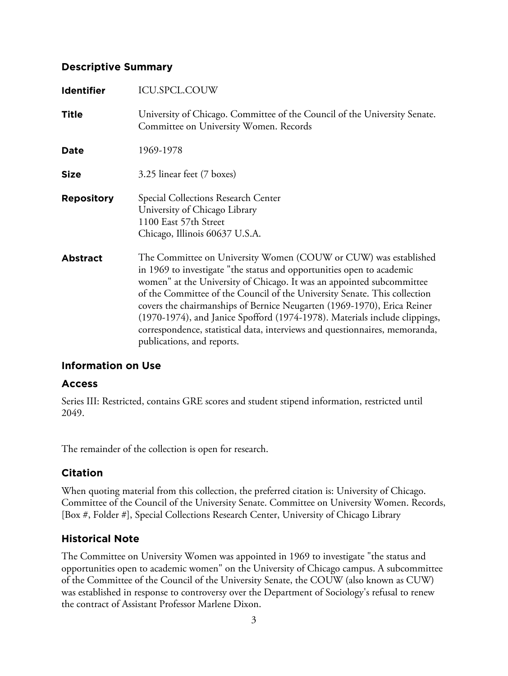# **Descriptive Summary**

| <b>Identifier</b> | <b>ICU.SPCL.COUW</b>                                                                                                                                                                                                                                                                                                                                                                                                                                                                                                                                                 |
|-------------------|----------------------------------------------------------------------------------------------------------------------------------------------------------------------------------------------------------------------------------------------------------------------------------------------------------------------------------------------------------------------------------------------------------------------------------------------------------------------------------------------------------------------------------------------------------------------|
| <b>Title</b>      | University of Chicago. Committee of the Council of the University Senate.<br>Committee on University Women. Records                                                                                                                                                                                                                                                                                                                                                                                                                                                  |
| <b>Date</b>       | 1969-1978                                                                                                                                                                                                                                                                                                                                                                                                                                                                                                                                                            |
| <b>Size</b>       | 3.25 linear feet (7 boxes)                                                                                                                                                                                                                                                                                                                                                                                                                                                                                                                                           |
| <b>Repository</b> | Special Collections Research Center<br>University of Chicago Library<br>1100 East 57th Street<br>Chicago, Illinois 60637 U.S.A.                                                                                                                                                                                                                                                                                                                                                                                                                                      |
| <b>Abstract</b>   | The Committee on University Women (COUW or CUW) was established<br>in 1969 to investigate "the status and opportunities open to academic<br>women" at the University of Chicago. It was an appointed subcommittee<br>of the Committee of the Council of the University Senate. This collection<br>covers the chairmanships of Bernice Neugarten (1969-1970), Erica Reiner<br>(1970-1974), and Janice Spofford (1974-1978). Materials include clippings,<br>correspondence, statistical data, interviews and questionnaires, memoranda,<br>publications, and reports. |

# **Information on Use**

# **Access**

Series III: Restricted, contains GRE scores and student stipend information, restricted until 2049.

The remainder of the collection is open for research.

# **Citation**

When quoting material from this collection, the preferred citation is: University of Chicago. Committee of the Council of the University Senate. Committee on University Women. Records, [Box #, Folder #], Special Collections Research Center, University of Chicago Library

# **Historical Note**

The Committee on University Women was appointed in 1969 to investigate "the status and opportunities open to academic women" on the University of Chicago campus. A subcommittee of the Committee of the Council of the University Senate, the COUW (also known as CUW) was established in response to controversy over the Department of Sociology's refusal to renew the contract of Assistant Professor Marlene Dixon.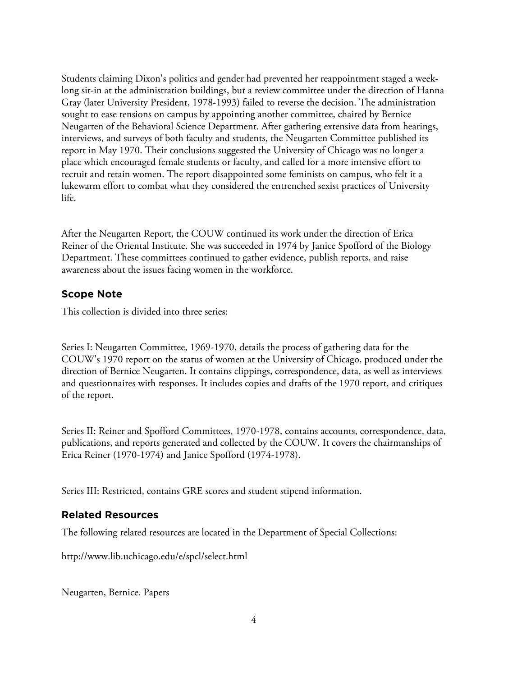Students claiming Dixon's politics and gender had prevented her reappointment staged a weeklong sit-in at the administration buildings, but a review committee under the direction of Hanna Gray (later University President, 1978-1993) failed to reverse the decision. The administration sought to ease tensions on campus by appointing another committee, chaired by Bernice Neugarten of the Behavioral Science Department. After gathering extensive data from hearings, interviews, and surveys of both faculty and students, the Neugarten Committee published its report in May 1970. Their conclusions suggested the University of Chicago was no longer a place which encouraged female students or faculty, and called for a more intensive effort to recruit and retain women. The report disappointed some feminists on campus, who felt it a lukewarm effort to combat what they considered the entrenched sexist practices of University life.

After the Neugarten Report, the COUW continued its work under the direction of Erica Reiner of the Oriental Institute. She was succeeded in 1974 by Janice Spofford of the Biology Department. These committees continued to gather evidence, publish reports, and raise awareness about the issues facing women in the workforce.

# **Scope Note**

This collection is divided into three series:

Series I: Neugarten Committee, 1969-1970, details the process of gathering data for the COUW's 1970 report on the status of women at the University of Chicago, produced under the direction of Bernice Neugarten. It contains clippings, correspondence, data, as well as interviews and questionnaires with responses. It includes copies and drafts of the 1970 report, and critiques of the report.

Series II: Reiner and Spofford Committees, 1970-1978, contains accounts, correspondence, data, publications, and reports generated and collected by the COUW. It covers the chairmanships of Erica Reiner (1970-1974) and Janice Spofford (1974-1978).

Series III: Restricted, contains GRE scores and student stipend information.

# **Related Resources**

The following related resources are located in the Department of Special Collections:

http://www.lib.uchicago.edu/e/spcl/select.html

Neugarten, Bernice. Papers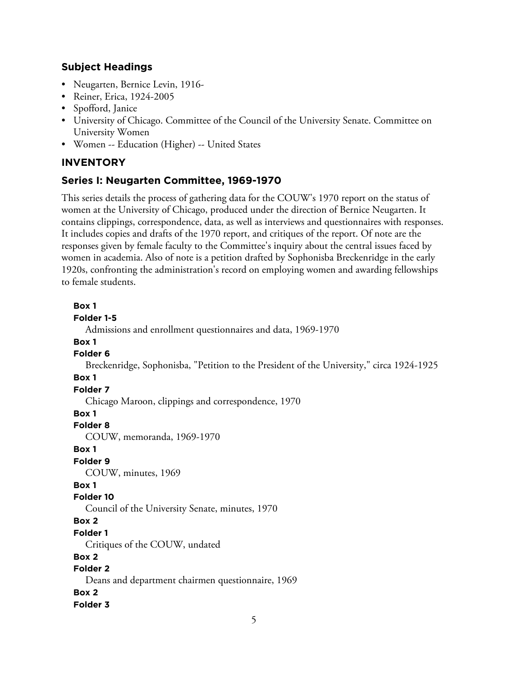# **Subject Headings**

- Neugarten, Bernice Levin, 1916-
- Reiner, Erica, 1924-2005
- Spofford, Janice
- University of Chicago. Committee of the Council of the University Senate. Committee on University Women
- Women -- Education (Higher) -- United States

# **INVENTORY**

# **Series I: Neugarten Committee, 1969-1970**

This series details the process of gathering data for the COUW's 1970 report on the status of women at the University of Chicago, produced under the direction of Bernice Neugarten. It contains clippings, correspondence, data, as well as interviews and questionnaires with responses. It includes copies and drafts of the 1970 report, and critiques of the report. Of note are the responses given by female faculty to the Committee's inquiry about the central issues faced by women in academia. Also of note is a petition drafted by Sophonisba Breckenridge in the early 1920s, confronting the administration's record on employing women and awarding fellowships to female students.

5 **Box 1 Folder 1-5** Admissions and enrollment questionnaires and data, 1969-1970 **Box 1 Folder 6** Breckenridge, Sophonisba, "Petition to the President of the University," circa 1924-1925 **Box 1 Folder 7** Chicago Maroon, clippings and correspondence, 1970 **Box 1 Folder 8** COUW, memoranda, 1969-1970 **Box 1 Folder 9** COUW, minutes, 1969 **Box 1 Folder 10** Council of the University Senate, minutes, 1970 **Box 2 Folder 1** Critiques of the COUW, undated **Box 2 Folder 2** Deans and department chairmen questionnaire, 1969 **Box 2 Folder 3**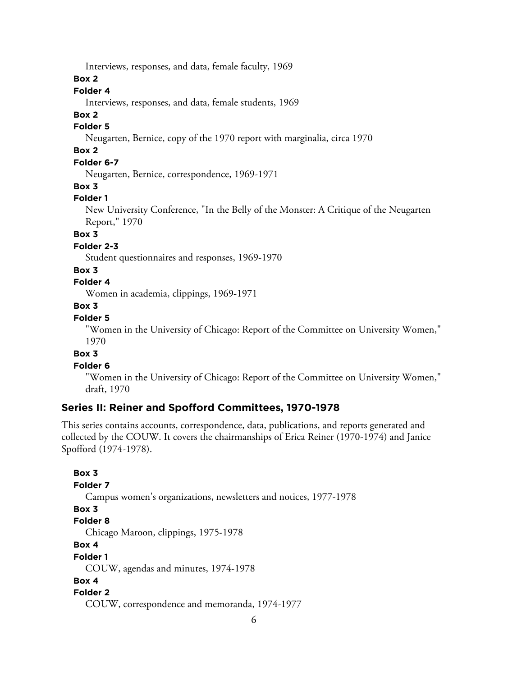Interviews, responses, and data, female faculty, 1969

**Box 2**

### **Folder 4**

Interviews, responses, and data, female students, 1969

#### **Box 2**

### **Folder 5**

Neugarten, Bernice, copy of the 1970 report with marginalia, circa 1970

# **Box 2**

# **Folder 6-7**

Neugarten, Bernice, correspondence, 1969-1971

### **Box 3**

#### **Folder 1**

New University Conference, "In the Belly of the Monster: A Critique of the Neugarten Report," 1970

### **Box 3**

#### **Folder 2-3**

Student questionnaires and responses, 1969-1970

#### **Box 3**

# **Folder 4**

Women in academia, clippings, 1969-1971

#### **Box 3**

### **Folder 5**

"Women in the University of Chicago: Report of the Committee on University Women," 1970

### **Box 3**

### **Folder 6**

"Women in the University of Chicago: Report of the Committee on University Women," draft, 1970

### **Series II: Reiner and Spofford Committees, 1970-1978**

This series contains accounts, correspondence, data, publications, and reports generated and collected by the COUW. It covers the chairmanships of Erica Reiner (1970-1974) and Janice Spofford (1974-1978).

#### **Box 3**

```
Folder 7
  Campus women's organizations, newsletters and notices, 1977-1978
Box 3
Folder 8
  Chicago Maroon, clippings, 1975-1978
Box 4
Folder 1
  COUW, agendas and minutes, 1974-1978
Box 4
Folder 2
  COUW, correspondence and memoranda, 1974-1977
```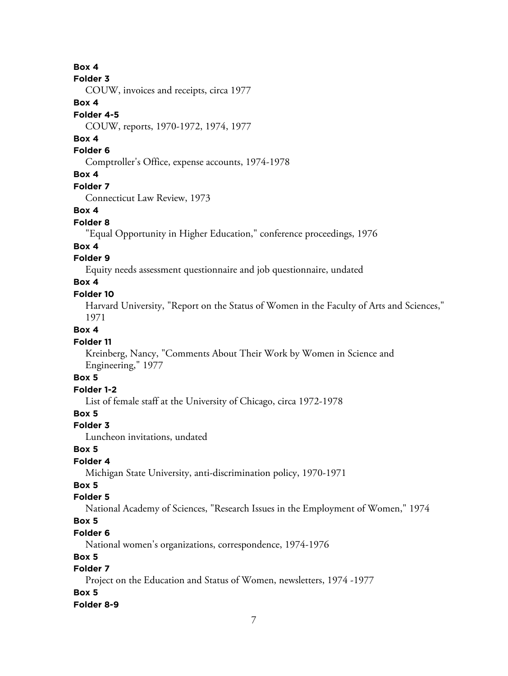### **Box 4**

#### **Folder 3**

COUW, invoices and receipts, circa 1977

### **Box 4**

#### **Folder 4-5**

COUW, reports, 1970-1972, 1974, 1977

### **Box 4**

#### **Folder 6**

Comptroller's Office, expense accounts, 1974-1978

# **Box 4**

#### **Folder 7**

Connecticut Law Review, 1973

### **Box 4**

#### **Folder 8**

"Equal Opportunity in Higher Education," conference proceedings, 1976

### **Box 4**

### **Folder 9**

Equity needs assessment questionnaire and job questionnaire, undated

### **Box 4**

### **Folder 10**

Harvard University, "Report on the Status of Women in the Faculty of Arts and Sciences," 1971

### **Box 4**

# **Folder 11**

Kreinberg, Nancy, "Comments About Their Work by Women in Science and Engineering," 1977

# **Box 5**

# **Folder 1-2**

List of female staff at the University of Chicago, circa 1972-1978

# **Box 5**

# **Folder 3**

Luncheon invitations, undated

### **Box 5**

# **Folder 4**

Michigan State University, anti-discrimination policy, 1970-1971

# **Box 5**

# **Folder 5**

National Academy of Sciences, "Research Issues in the Employment of Women," 1974

# **Box 5**

### **Folder 6**

National women's organizations, correspondence, 1974-1976

# **Box 5**

# **Folder 7**

Project on the Education and Status of Women, newsletters, 1974 -1977

### **Box 5**

### **Folder 8-9**